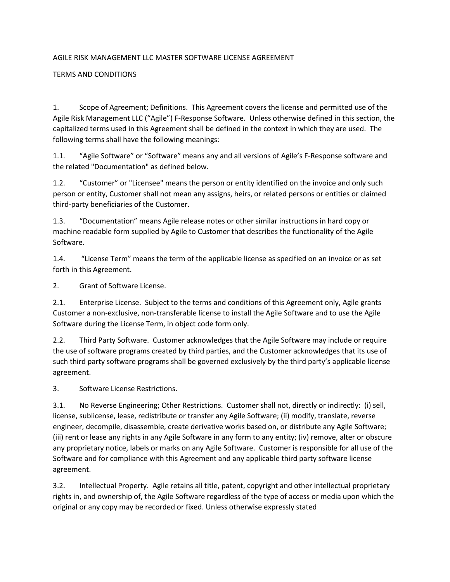## AGILE RISK MANAGEMENT LLC MASTER SOFTWARE LICENSE AGREEMENT

## TERMS AND CONDITIONS

1. Scope of Agreement; Definitions. This Agreement covers the license and permitted use of the Agile Risk Management LLC ("Agile") F-Response Software. Unless otherwise defined in this section, the capitalized terms used in this Agreement shall be defined in the context in which they are used. The following terms shall have the following meanings:

1.1. "Agile Software" or "Software" means any and all versions of Agile's F-Response software and the related "Documentation" as defined below.

1.2. "Customer" or "Licensee" means the person or entity identified on the invoice and only such person or entity, Customer shall not mean any assigns, heirs, or related persons or entities or claimed third-party beneficiaries of the Customer.

1.3. "Documentation" means Agile release notes or other similar instructions in hard copy or machine readable form supplied by Agile to Customer that describes the functionality of the Agile Software.

1.4. "License Term" means the term of the applicable license as specified on an invoice or as set forth in this Agreement.

2. Grant of Software License.

2.1. Enterprise License. Subject to the terms and conditions of this Agreement only, Agile grants Customer a non-exclusive, non-transferable license to install the Agile Software and to use the Agile Software during the License Term, in object code form only.

2.2. Third Party Software. Customer acknowledges that the Agile Software may include or require the use of software programs created by third parties, and the Customer acknowledges that its use of such third party software programs shall be governed exclusively by the third party's applicable license agreement.

3. Software License Restrictions.

3.1. No Reverse Engineering; Other Restrictions. Customer shall not, directly or indirectly: (i) sell, license, sublicense, lease, redistribute or transfer any Agile Software; (ii) modify, translate, reverse engineer, decompile, disassemble, create derivative works based on, or distribute any Agile Software; (iii) rent or lease any rights in any Agile Software in any form to any entity; (iv) remove, alter or obscure any proprietary notice, labels or marks on any Agile Software. Customer is responsible for all use of the Software and for compliance with this Agreement and any applicable third party software license agreement.

3.2. Intellectual Property. Agile retains all title, patent, copyright and other intellectual proprietary rights in, and ownership of, the Agile Software regardless of the type of access or media upon which the original or any copy may be recorded or fixed. Unless otherwise expressly stated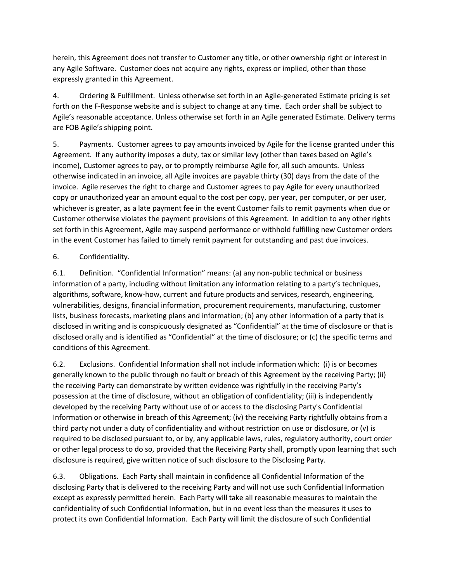herein, this Agreement does not transfer to Customer any title, or other ownership right or interest in any Agile Software. Customer does not acquire any rights, express or implied, other than those expressly granted in this Agreement.

4. Ordering & Fulfillment. Unless otherwise set forth in an Agile-generated Estimate pricing is set forth on the F-Response website and is subject to change at any time. Each order shall be subject to Agile's reasonable acceptance. Unless otherwise set forth in an Agile generated Estimate. Delivery terms are FOB Agile's shipping point.

5. Payments. Customer agrees to pay amounts invoiced by Agile for the license granted under this Agreement. If any authority imposes a duty, tax or similar levy (other than taxes based on Agile's income), Customer agrees to pay, or to promptly reimburse Agile for, all such amounts. Unless otherwise indicated in an invoice, all Agile invoices are payable thirty (30) days from the date of the invoice. Agile reserves the right to charge and Customer agrees to pay Agile for every unauthorized copy or unauthorized year an amount equal to the cost per copy, per year, per computer, or per user, whichever is greater, as a late payment fee in the event Customer fails to remit payments when due or Customer otherwise violates the payment provisions of this Agreement. In addition to any other rights set forth in this Agreement, Agile may suspend performance or withhold fulfilling new Customer orders in the event Customer has failed to timely remit payment for outstanding and past due invoices.

# 6. Confidentiality.

6.1. Definition. "Confidential Information" means: (a) any non-public technical or business information of a party, including without limitation any information relating to a party's techniques, algorithms, software, know-how, current and future products and services, research, engineering, vulnerabilities, designs, financial information, procurement requirements, manufacturing, customer lists, business forecasts, marketing plans and information; (b) any other information of a party that is disclosed in writing and is conspicuously designated as "Confidential" at the time of disclosure or that is disclosed orally and is identified as "Confidential" at the time of disclosure; or (c) the specific terms and conditions of this Agreement.

6.2. Exclusions. Confidential Information shall not include information which: (i) is or becomes generally known to the public through no fault or breach of this Agreement by the receiving Party; (ii) the receiving Party can demonstrate by written evidence was rightfully in the receiving Party's possession at the time of disclosure, without an obligation of confidentiality; (iii) is independently developed by the receiving Party without use of or access to the disclosing Party's Confidential Information or otherwise in breach of this Agreement; (iv) the receiving Party rightfully obtains from a third party not under a duty of confidentiality and without restriction on use or disclosure, or (v) is required to be disclosed pursuant to, or by, any applicable laws, rules, regulatory authority, court order or other legal process to do so, provided that the Receiving Party shall, promptly upon learning that such disclosure is required, give written notice of such disclosure to the Disclosing Party.

6.3. Obligations. Each Party shall maintain in confidence all Confidential Information of the disclosing Party that is delivered to the receiving Party and will not use such Confidential Information except as expressly permitted herein. Each Party will take all reasonable measures to maintain the confidentiality of such Confidential Information, but in no event less than the measures it uses to protect its own Confidential Information. Each Party will limit the disclosure of such Confidential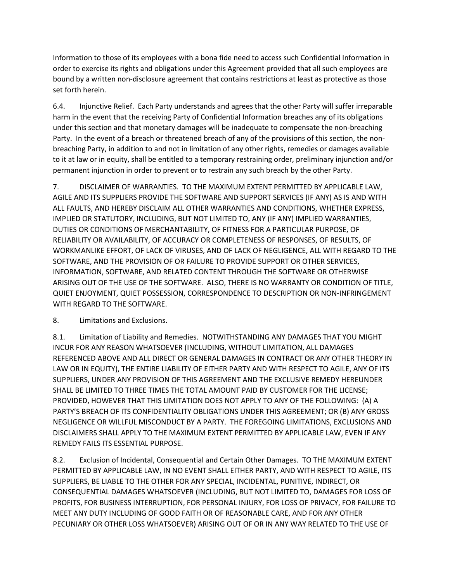Information to those of its employees with a bona fide need to access such Confidential Information in order to exercise its rights and obligations under this Agreement provided that all such employees are bound by a written non-disclosure agreement that contains restrictions at least as protective as those set forth herein.

6.4. Injunctive Relief. Each Party understands and agrees that the other Party will suffer irreparable harm in the event that the receiving Party of Confidential Information breaches any of its obligations under this section and that monetary damages will be inadequate to compensate the non-breaching Party. In the event of a breach or threatened breach of any of the provisions of this section, the nonbreaching Party, in addition to and not in limitation of any other rights, remedies or damages available to it at law or in equity, shall be entitled to a temporary restraining order, preliminary injunction and/or permanent injunction in order to prevent or to restrain any such breach by the other Party.

7. DISCLAIMER OF WARRANTIES. TO THE MAXIMUM EXTENT PERMITTED BY APPLICABLE LAW, AGILE AND ITS SUPPLIERS PROVIDE THE SOFTWARE AND SUPPORT SERVICES (IF ANY) AS IS AND WITH ALL FAULTS, AND HEREBY DISCLAIM ALL OTHER WARRANTIES AND CONDITIONS, WHETHER EXPRESS, IMPLIED OR STATUTORY, INCLUDING, BUT NOT LIMITED TO, ANY (IF ANY) IMPLIED WARRANTIES, DUTIES OR CONDITIONS OF MERCHANTABILITY, OF FITNESS FOR A PARTICULAR PURPOSE, OF RELIABILITY OR AVAILABILITY, OF ACCURACY OR COMPLETENESS OF RESPONSES, OF RESULTS, OF WORKMANLIKE EFFORT, OF LACK OF VIRUSES, AND OF LACK OF NEGLIGENCE, ALL WITH REGARD TO THE SOFTWARE, AND THE PROVISION OF OR FAILURE TO PROVIDE SUPPORT OR OTHER SERVICES, INFORMATION, SOFTWARE, AND RELATED CONTENT THROUGH THE SOFTWARE OR OTHERWISE ARISING OUT OF THE USE OF THE SOFTWARE. ALSO, THERE IS NO WARRANTY OR CONDITION OF TITLE, QUIET ENJOYMENT, QUIET POSSESSION, CORRESPONDENCE TO DESCRIPTION OR NON-INFRINGEMENT WITH REGARD TO THE SOFTWARE.

# 8. Limitations and Exclusions.

8.1. Limitation of Liability and Remedies. NOTWITHSTANDING ANY DAMAGES THAT YOU MIGHT INCUR FOR ANY REASON WHATSOEVER (INCLUDING, WITHOUT LIMITATION, ALL DAMAGES REFERENCED ABOVE AND ALL DIRECT OR GENERAL DAMAGES IN CONTRACT OR ANY OTHER THEORY IN LAW OR IN EQUITY), THE ENTIRE LIABILITY OF EITHER PARTY AND WITH RESPECT TO AGILE, ANY OF ITS SUPPLIERS, UNDER ANY PROVISION OF THIS AGREEMENT AND THE EXCLUSIVE REMEDY HEREUNDER SHALL BE LIMITED TO THREE TIMES THE TOTAL AMOUNT PAID BY CUSTOMER FOR THE LICENSE; PROVIDED, HOWEVER THAT THIS LIMITATION DOES NOT APPLY TO ANY OF THE FOLLOWING: (A) A PARTY'S BREACH OF ITS CONFIDENTIALITY OBLIGATIONS UNDER THIS AGREEMENT; OR (B) ANY GROSS NEGLIGENCE OR WILLFUL MISCONDUCT BY A PARTY. THE FOREGOING LIMITATIONS, EXCLUSIONS AND DISCLAIMERS SHALL APPLY TO THE MAXIMUM EXTENT PERMITTED BY APPLICABLE LAW, EVEN IF ANY REMEDY FAILS ITS ESSENTIAL PURPOSE.

8.2. Exclusion of Incidental, Consequential and Certain Other Damages. TO THE MAXIMUM EXTENT PERMITTED BY APPLICABLE LAW, IN NO EVENT SHALL EITHER PARTY, AND WITH RESPECT TO AGILE, ITS SUPPLIERS, BE LIABLE TO THE OTHER FOR ANY SPECIAL, INCIDENTAL, PUNITIVE, INDIRECT, OR CONSEQUENTIAL DAMAGES WHATSOEVER (INCLUDING, BUT NOT LIMITED TO, DAMAGES FOR LOSS OF PROFITS, FOR BUSINESS INTERRUPTION, FOR PERSONAL INJURY, FOR LOSS OF PRIVACY, FOR FAILURE TO MEET ANY DUTY INCLUDING OF GOOD FAITH OR OF REASONABLE CARE, AND FOR ANY OTHER PECUNIARY OR OTHER LOSS WHATSOEVER) ARISING OUT OF OR IN ANY WAY RELATED TO THE USE OF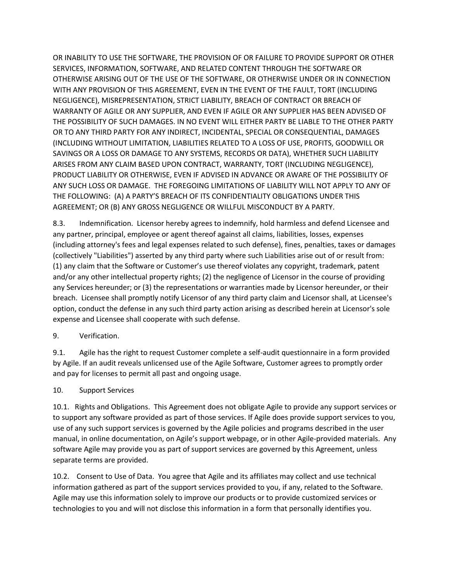OR INABILITY TO USE THE SOFTWARE, THE PROVISION OF OR FAILURE TO PROVIDE SUPPORT OR OTHER SERVICES, INFORMATION, SOFTWARE, AND RELATED CONTENT THROUGH THE SOFTWARE OR OTHERWISE ARISING OUT OF THE USE OF THE SOFTWARE, OR OTHERWISE UNDER OR IN CONNECTION WITH ANY PROVISION OF THIS AGREEMENT, EVEN IN THE EVENT OF THE FAULT, TORT (INCLUDING NEGLIGENCE), MISREPRESENTATION, STRICT LIABILITY, BREACH OF CONTRACT OR BREACH OF WARRANTY OF AGILE OR ANY SUPPLIER, AND EVEN IF AGILE OR ANY SUPPLIER HAS BEEN ADVISED OF THE POSSIBILITY OF SUCH DAMAGES. IN NO EVENT WILL EITHER PARTY BE LIABLE TO THE OTHER PARTY OR TO ANY THIRD PARTY FOR ANY INDIRECT, INCIDENTAL, SPECIAL OR CONSEQUENTIAL, DAMAGES (INCLUDING WITHOUT LIMITATION, LIABILITIES RELATED TO A LOSS OF USE, PROFITS, GOODWILL OR SAVINGS OR A LOSS OR DAMAGE TO ANY SYSTEMS, RECORDS OR DATA), WHETHER SUCH LIABILITY ARISES FROM ANY CLAIM BASED UPON CONTRACT, WARRANTY, TORT (INCLUDING NEGLIGENCE), PRODUCT LIABILITY OR OTHERWISE, EVEN IF ADVISED IN ADVANCE OR AWARE OF THE POSSIBILITY OF ANY SUCH LOSS OR DAMAGE. THE FOREGOING LIMITATIONS OF LIABILITY WILL NOT APPLY TO ANY OF THE FOLLOWING: (A) A PARTY'S BREACH OF ITS CONFIDENTIALITY OBLIGATIONS UNDER THIS AGREEMENT; OR (B) ANY GROSS NEGLIGENCE OR WILLFUL MISCONDUCT BY A PARTY.

8.3. Indemnification. Licensor hereby agrees to indemnify, hold harmless and defend Licensee and any partner, principal, employee or agent thereof against all claims, liabilities, losses, expenses (including attorney's fees and legal expenses related to such defense), fines, penalties, taxes or damages (collectively "Liabilities") asserted by any third party where such Liabilities arise out of or result from: (1) any claim that the Software or Customer's use thereof violates any copyright, trademark, patent and/or any other intellectual property rights; (2) the negligence of Licensor in the course of providing any Services hereunder; or (3) the representations or warranties made by Licensor hereunder, or their breach. Licensee shall promptly notify Licensor of any third party claim and Licensor shall, at Licensee's option, conduct the defense in any such third party action arising as described herein at Licensor's sole expense and Licensee shall cooperate with such defense.

# 9. Verification.

9.1. Agile has the right to request Customer complete a self-audit questionnaire in a form provided by Agile. If an audit reveals unlicensed use of the Agile Software, Customer agrees to promptly order and pay for licenses to permit all past and ongoing usage.

#### 10. Support Services

10.1. Rights and Obligations. This Agreement does not obligate Agile to provide any support services or to support any software provided as part of those services. If Agile does provide support services to you, use of any such support services is governed by the Agile policies and programs described in the user manual, in online documentation, on Agile's support webpage, or in other Agile-provided materials. Any software Agile may provide you as part of support services are governed by this Agreement, unless separate terms are provided.

10.2. Consent to Use of Data. You agree that Agile and its affiliates may collect and use technical information gathered as part of the support services provided to you, if any, related to the Software. Agile may use this information solely to improve our products or to provide customized services or technologies to you and will not disclose this information in a form that personally identifies you.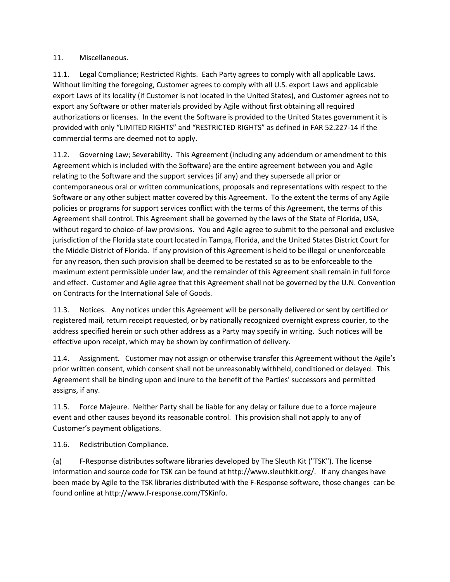### 11. Miscellaneous.

11.1. Legal Compliance; Restricted Rights. Each Party agrees to comply with all applicable Laws. Without limiting the foregoing, Customer agrees to comply with all U.S. export Laws and applicable export Laws of its locality (if Customer is not located in the United States), and Customer agrees not to export any Software or other materials provided by Agile without first obtaining all required authorizations or licenses. In the event the Software is provided to the United States government it is provided with only "LIMITED RIGHTS" and "RESTRICTED RIGHTS" as defined in FAR 52.227-14 if the commercial terms are deemed not to apply.

11.2. Governing Law; Severability. This Agreement (including any addendum or amendment to this Agreement which is included with the Software) are the entire agreement between you and Agile relating to the Software and the support services (if any) and they supersede all prior or contemporaneous oral or written communications, proposals and representations with respect to the Software or any other subject matter covered by this Agreement. To the extent the terms of any Agile policies or programs for support services conflict with the terms of this Agreement, the terms of this Agreement shall control. This Agreement shall be governed by the laws of the State of Florida, USA, without regard to choice-of-law provisions. You and Agile agree to submit to the personal and exclusive jurisdiction of the Florida state court located in Tampa, Florida, and the United States District Court for the Middle District of Florida. If any provision of this Agreement is held to be illegal or unenforceable for any reason, then such provision shall be deemed to be restated so as to be enforceable to the maximum extent permissible under law, and the remainder of this Agreement shall remain in full force and effect. Customer and Agile agree that this Agreement shall not be governed by the U.N. Convention on Contracts for the International Sale of Goods.

11.3. Notices. Any notices under this Agreement will be personally delivered or sent by certified or registered mail, return receipt requested, or by nationally recognized overnight express courier, to the address specified herein or such other address as a Party may specify in writing. Such notices will be effective upon receipt, which may be shown by confirmation of delivery.

11.4. Assignment. Customer may not assign or otherwise transfer this Agreement without the Agile's prior written consent, which consent shall not be unreasonably withheld, conditioned or delayed. This Agreement shall be binding upon and inure to the benefit of the Parties' successors and permitted assigns, if any.

11.5. Force Majeure. Neither Party shall be liable for any delay or failure due to a force majeure event and other causes beyond its reasonable control. This provision shall not apply to any of Customer's payment obligations.

11.6. Redistribution Compliance.

(a) F-Response distributes software libraries developed by The Sleuth Kit ("TSK"). The license information and source code for TSK can be found at http://www.sleuthkit.org/. If any changes have been made by Agile to the TSK libraries distributed with the F-Response software, those changes can be found online at http://www.f-response.com/TSKinfo.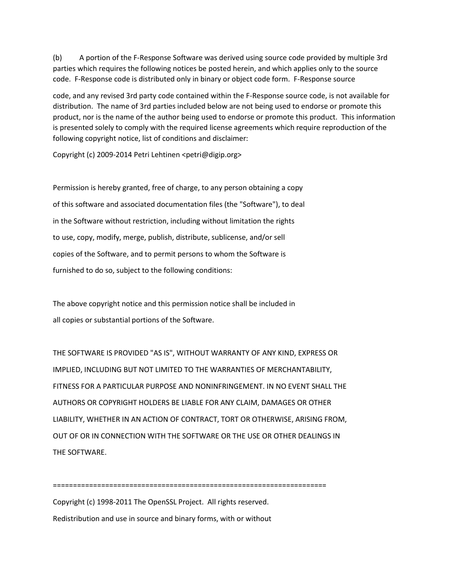(b) A portion of the F-Response Software was derived using source code provided by multiple 3rd parties which requires the following notices be posted herein, and which applies only to the source code. F-Response code is distributed only in binary or object code form. F-Response source

code, and any revised 3rd party code contained within the F-Response source code, is not available for distribution. The name of 3rd parties included below are not being used to endorse or promote this product, nor is the name of the author being used to endorse or promote this product. This information is presented solely to comply with the required license agreements which require reproduction of the following copyright notice, list of conditions and disclaimer:

Copyright (c) 2009-2014 Petri Lehtinen <petri@digip.org>

Permission is hereby granted, free of charge, to any person obtaining a copy of this software and associated documentation files (the "Software"), to deal in the Software without restriction, including without limitation the rights to use, copy, modify, merge, publish, distribute, sublicense, and/or sell copies of the Software, and to permit persons to whom the Software is furnished to do so, subject to the following conditions:

The above copyright notice and this permission notice shall be included in all copies or substantial portions of the Software.

THE SOFTWARE IS PROVIDED "AS IS", WITHOUT WARRANTY OF ANY KIND, EXPRESS OR IMPLIED, INCLUDING BUT NOT LIMITED TO THE WARRANTIES OF MERCHANTABILITY, FITNESS FOR A PARTICULAR PURPOSE AND NONINFRINGEMENT. IN NO EVENT SHALL THE AUTHORS OR COPYRIGHT HOLDERS BE LIABLE FOR ANY CLAIM, DAMAGES OR OTHER LIABILITY, WHETHER IN AN ACTION OF CONTRACT, TORT OR OTHERWISE, ARISING FROM, OUT OF OR IN CONNECTION WITH THE SOFTWARE OR THE USE OR OTHER DEALINGS IN THE SOFTWARE.

====================================================================

Copyright (c) 1998-2011 The OpenSSL Project. All rights reserved. Redistribution and use in source and binary forms, with or without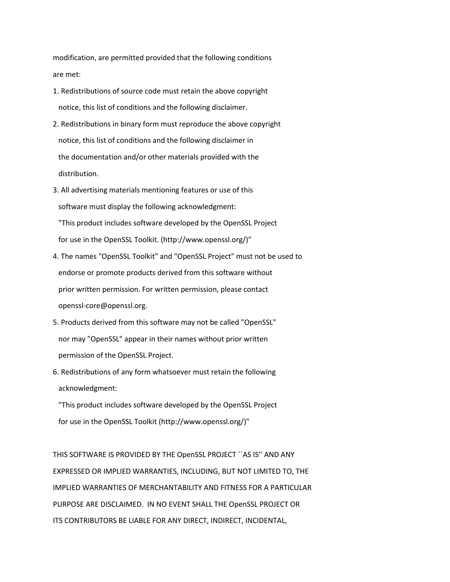modification, are permitted provided that the following conditions are met:

- 1. Redistributions of source code must retain the above copyright notice, this list of conditions and the following disclaimer.
- 2. Redistributions in binary form must reproduce the above copyright notice, this list of conditions and the following disclaimer in the documentation and/or other materials provided with the distribution.
- 3. All advertising materials mentioning features or use of this software must display the following acknowledgment: "This product includes software developed by the OpenSSL Project for use in the OpenSSL Toolkit. (http://www.openssl.org/)"
- 4. The names "OpenSSL Toolkit" and "OpenSSL Project" must not be used to endorse or promote products derived from this software without prior written permission. For written permission, please contact openssl-core@openssl.org.
- 5. Products derived from this software may not be called "OpenSSL" nor may "OpenSSL" appear in their names without prior written permission of the OpenSSL Project.
- 6. Redistributions of any form whatsoever must retain the following acknowledgment:

 "This product includes software developed by the OpenSSL Project for use in the OpenSSL Toolkit (http://www.openssl.org/)"

THIS SOFTWARE IS PROVIDED BY THE OpenSSL PROJECT ``AS IS'' AND ANY EXPRESSED OR IMPLIED WARRANTIES, INCLUDING, BUT NOT LIMITED TO, THE IMPLIED WARRANTIES OF MERCHANTABILITY AND FITNESS FOR A PARTICULAR PURPOSE ARE DISCLAIMED. IN NO EVENT SHALL THE OpenSSL PROJECT OR ITS CONTRIBUTORS BE LIABLE FOR ANY DIRECT, INDIRECT, INCIDENTAL,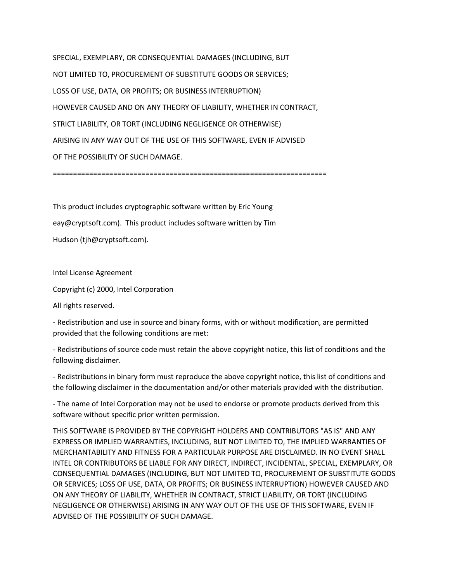SPECIAL, EXEMPLARY, OR CONSEQUENTIAL DAMAGES (INCLUDING, BUT NOT LIMITED TO, PROCUREMENT OF SUBSTITUTE GOODS OR SERVICES; LOSS OF USE, DATA, OR PROFITS; OR BUSINESS INTERRUPTION) HOWEVER CAUSED AND ON ANY THEORY OF LIABILITY, WHETHER IN CONTRACT, STRICT LIABILITY, OR TORT (INCLUDING NEGLIGENCE OR OTHERWISE) ARISING IN ANY WAY OUT OF THE USE OF THIS SOFTWARE, EVEN IF ADVISED OF THE POSSIBILITY OF SUCH DAMAGE.

====================================================================

This product includes cryptographic software written by Eric Young eay@cryptsoft.com). This product includes software written by Tim Hudson (tjh@cryptsoft.com).

Intel License Agreement

Copyright (c) 2000, Intel Corporation

All rights reserved.

- Redistribution and use in source and binary forms, with or without modification, are permitted provided that the following conditions are met:

- Redistributions of source code must retain the above copyright notice, this list of conditions and the following disclaimer.

- Redistributions in binary form must reproduce the above copyright notice, this list of conditions and the following disclaimer in the documentation and/or other materials provided with the distribution.

- The name of Intel Corporation may not be used to endorse or promote products derived from this software without specific prior written permission.

THIS SOFTWARE IS PROVIDED BY THE COPYRIGHT HOLDERS AND CONTRIBUTORS "AS IS" AND ANY EXPRESS OR IMPLIED WARRANTIES, INCLUDING, BUT NOT LIMITED TO, THE IMPLIED WARRANTIES OF MERCHANTABILITY AND FITNESS FOR A PARTICULAR PURPOSE ARE DISCLAIMED. IN NO EVENT SHALL INTEL OR CONTRIBUTORS BE LIABLE FOR ANY DIRECT, INDIRECT, INCIDENTAL, SPECIAL, EXEMPLARY, OR CONSEQUENTIAL DAMAGES (INCLUDING, BUT NOT LIMITED TO, PROCUREMENT OF SUBSTITUTE GOODS OR SERVICES; LOSS OF USE, DATA, OR PROFITS; OR BUSINESS INTERRUPTION) HOWEVER CAUSED AND ON ANY THEORY OF LIABILITY, WHETHER IN CONTRACT, STRICT LIABILITY, OR TORT (INCLUDING NEGLIGENCE OR OTHERWISE) ARISING IN ANY WAY OUT OF THE USE OF THIS SOFTWARE, EVEN IF ADVISED OF THE POSSIBILITY OF SUCH DAMAGE.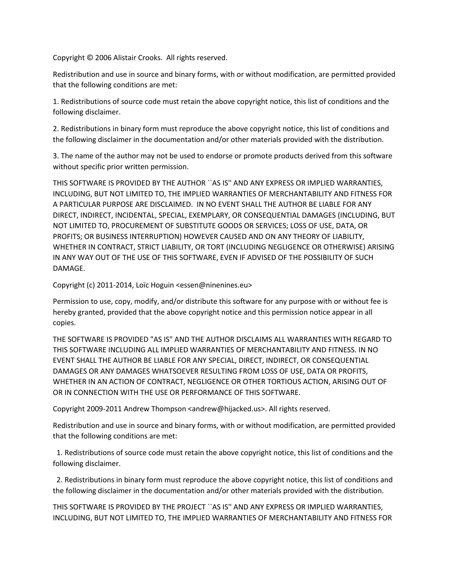Copyright © 2006 Alistair Crooks. All rights reserved.

Redistribution and use in source and binary forms, with or without modification, are permitted provided that the following conditions are met:

1. Redistributions of source code must retain the above copyright notice, this list of conditions and the following disclaimer.

2. Redistributions in binary form must reproduce the above copyright notice, this list of conditions and the following disclaimer in the documentation and/or other materials provided with the distribution.

3. The name of the author may not be used to endorse or promote products derived from this software without specific prior written permission.

THIS SOFTWARE IS PROVIDED BY THE AUTHOR ``AS IS'' AND ANY EXPRESS OR IMPLIED WARRANTIES, INCLUDING, BUT NOT LIMITED TO, THE IMPLIED WARRANTIES OF MERCHANTABILITY AND FITNESS FOR A PARTICULAR PURPOSE ARE DISCLAIMED. IN NO EVENT SHALL THE AUTHOR BE LIABLE FOR ANY DIRECT, INDIRECT, INCIDENTAL, SPECIAL, EXEMPLARY, OR CONSEQUENTIAL DAMAGES (INCLUDING, BUT NOT LIMITED TO, PROCUREMENT OF SUBSTITUTE GOODS OR SERVICES; LOSS OF USE, DATA, OR PROFITS; OR BUSINESS INTERRUPTION) HOWEVER CAUSED AND ON ANY THEORY OF LIABILITY, WHETHER IN CONTRACT, STRICT LIABILITY, OR TORT (INCLUDING NEGLIGENCE OR OTHERWISE) ARISING IN ANY WAY OUT OF THE USE OF THIS SOFTWARE, EVEN IF ADVISED OF THE POSSIBILITY OF SUCH DAMAGE.

Copyright (c) 2011-2014, Loïc Hoguin <essen@ninenines.eu>

Permission to use, copy, modify, and/or distribute this software for any purpose with or without fee is hereby granted, provided that the above copyright notice and this permission notice appear in all copies.

THE SOFTWARE IS PROVIDED "AS IS" AND THE AUTHOR DISCLAIMS ALL WARRANTIES WITH REGARD TO THIS SOFTWARE INCLUDING ALL IMPLIED WARRANTIES OF MERCHANTABILITY AND FITNESS. IN NO EVENT SHALL THE AUTHOR BE LIABLE FOR ANY SPECIAL, DIRECT, INDIRECT, OR CONSEQUENTIAL DAMAGES OR ANY DAMAGES WHATSOEVER RESULTING FROM LOSS OF USE, DATA OR PROFITS, WHETHER IN AN ACTION OF CONTRACT, NEGLIGENCE OR OTHER TORTIOUS ACTION, ARISING OUT OF OR IN CONNECTION WITH THE USE OR PERFORMANCE OF THIS SOFTWARE.

Copyright 2009-2011 Andrew Thompson <andrew@hijacked.us>. All rights reserved.

Redistribution and use in source and binary forms, with or without modification, are permitted provided that the following conditions are met:

 1. Redistributions of source code must retain the above copyright notice, this list of conditions and the following disclaimer.

 2. Redistributions in binary form must reproduce the above copyright notice, this list of conditions and the following disclaimer in the documentation and/or other materials provided with the distribution.

THIS SOFTWARE IS PROVIDED BY THE PROJECT ``AS IS'' AND ANY EXPRESS OR IMPLIED WARRANTIES, INCLUDING, BUT NOT LIMITED TO, THE IMPLIED WARRANTIES OF MERCHANTABILITY AND FITNESS FOR